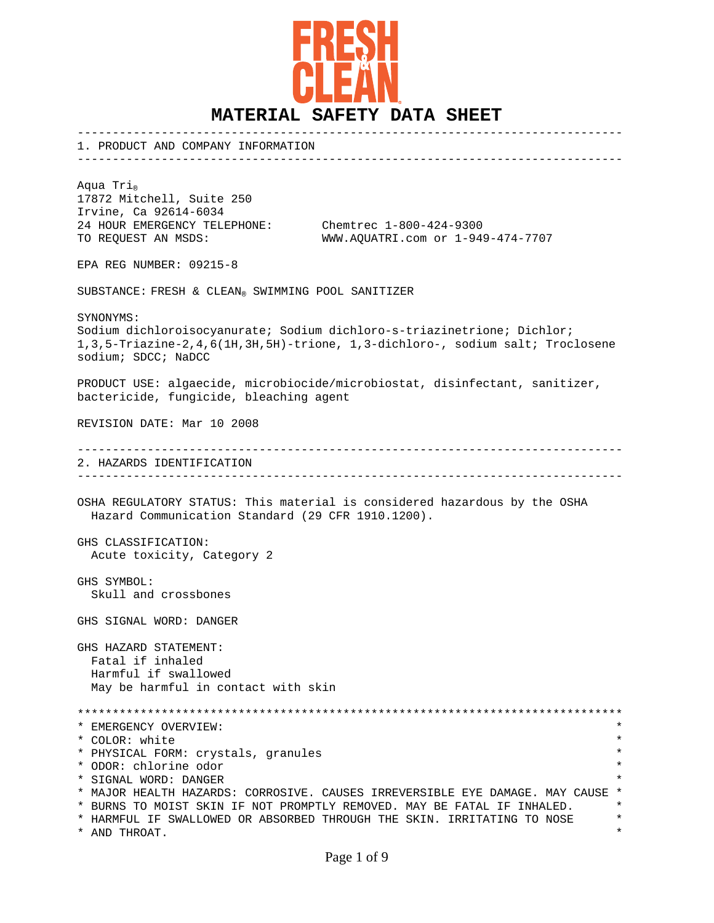

------------------------------------------------------------------------------

1. PRODUCT AND COMPANY INFORMATION

Aqua Tri<sub>®</sub> 17872 Mitchell, Suite 250 Irvine, Ca 92614-6034 24 HOUR EMERGENCY TELEPHONE: Chemtrec 1-800-424-9300

TO REQUEST AN MSDS: WWW.AQUATRI.com or 1-949-474-7707

EPA REG NUMBER: 09215-8

SUBSTANCE: FRESH & CLEAN® SWIMMING POOL SANITIZER

SYNONYMS:

Sodium dichloroisocyanurate; Sodium dichloro-s-triazinetrione; Dichlor; 1,3,5-Triazine-2,4,6(1H,3H,5H)-trione, 1,3-dichloro-, sodium salt; Troclosene sodium; SDCC; NaDCC

PRODUCT USE: algaecide, microbiocide/microbiostat, disinfectant, sanitizer, bactericide, fungicide, bleaching agent

REVISION DATE: Mar 10 2008

------------------------------------------------------------------------------ 2. HAZARDS IDENTIFICATION ------------------------------------------------------------------------------

OSHA REGULATORY STATUS: This material is considered hazardous by the OSHA Hazard Communication Standard (29 CFR 1910.1200).

GHS CLASSIFICATION: Acute toxicity, Category 2

GHS SYMBOL: Skull and crossbones

GHS SIGNAL WORD: DANGER

GHS HAZARD STATEMENT: Fatal if inhaled Harmful if swallowed May be harmful in contact with skin

\*\*\*\*\*\*\*\*\*\*\*\*\*\*\*\*\*\*\*\*\*\*\*\*\*\*\*\*\*\*\*\*\*\*\*\*\*\*\*\*\*\*\*\*\*\*\*\*\*\*\*\*\*\*\*\*\*\*\*\*\*\*\*\*\*\*\*\*\*\*\*\*\*\*\*\*\*\* \* EMERGENCY OVERVIEW: \* \* COLOR: white \* \* PHYSICAL FORM: crystals, granules \* \* ODOR: chlorine odor \* \* SIGNAL WORD: DANGER \* \* MAJOR HEALTH HAZARDS: CORROSIVE. CAUSES IRREVERSIBLE EYE DAMAGE. MAY CAUSE \* \* BURNS TO MOIST SKIN IF NOT PROMPTLY REMOVED. MAY BE FATAL IF INHALED. \* \*<br>\* HARMEUL IE SWALLOWED OR ARSORRED THROUGH THE SKIN IPRITATING TO MOSE \* \* \* HARMFUL IF SWALLOWED OR ABSORBED THROUGH THE SKIN. IRRITATING TO NOSE \* \* AND THROAT. \*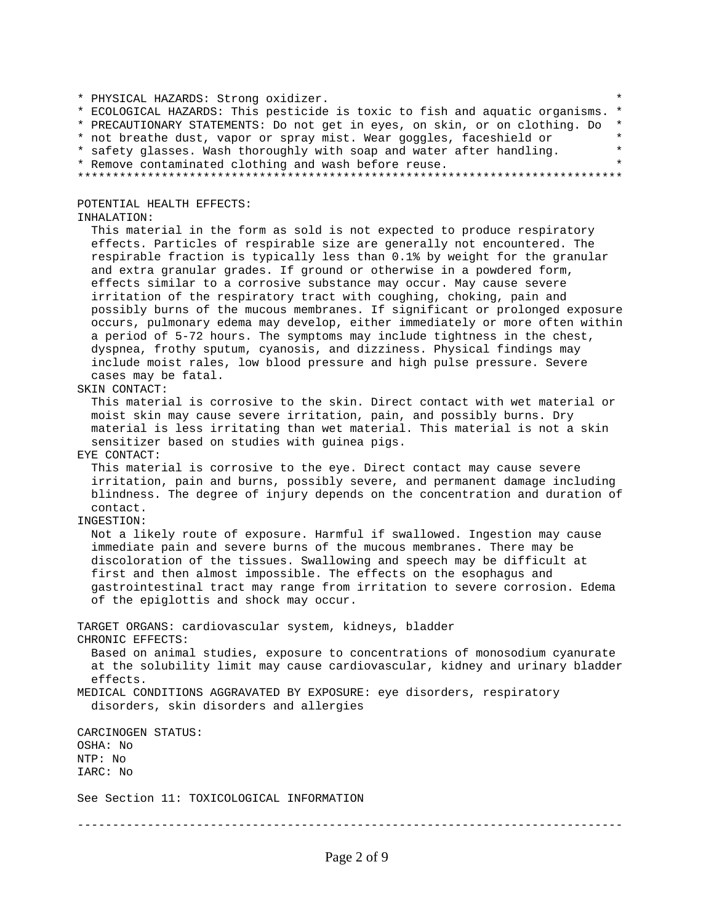\* PHYSICAL HAZARDS: Strong oxidizer. \* \* ECOLOGICAL HAZARDS: This pesticide is toxic to fish and aquatic organisms. \* \* PRECAUTIONARY STATEMENTS: Do not get in eyes, on skin, or on clothing. Do \* \* not breathe dust, vapor or spray mist. Wear goggles, faceshield or \* \* safety glasses. Wash thoroughly with soap and water after handling. \* \* Remove contaminated clothing and wash before reuse. \* \*\*\*\*\*\*\*\*\*\*\*\*\*\*\*\*\*\*\*\*\*\*\*\*\*\*\*\*\*\*\*\*\*\*\*\*\*\*\*\*\*\*\*\*\*\*\*\*\*\*\*\*\*\*\*\*\*\*\*\*\*\*\*\*\*\*\*\*\*\*\*\*\*\*\*\*\*\* POTENTIAL HEALTH EFFECTS: INHALATION: This material in the form as sold is not expected to produce respiratory effects. Particles of respirable size are generally not encountered. The respirable fraction is typically less than 0.1% by weight for the granular and extra granular grades. If ground or otherwise in a powdered form, effects similar to a corrosive substance may occur. May cause severe irritation of the respiratory tract with coughing, choking, pain and possibly burns of the mucous membranes. If significant or prolonged exposure occurs, pulmonary edema may develop, either immediately or more often within a period of 5-72 hours. The symptoms may include tightness in the chest, dyspnea, frothy sputum, cyanosis, and dizziness. Physical findings may include moist rales, low blood pressure and high pulse pressure. Severe cases may be fatal. SKIN CONTACT: This material is corrosive to the skin. Direct contact with wet material or moist skin may cause severe irritation, pain, and possibly burns. Dry material is less irritating than wet material. This material is not a skin sensitizer based on studies with guinea pigs. EYE CONTACT: This material is corrosive to the eye. Direct contact may cause severe irritation, pain and burns, possibly severe, and permanent damage including blindness. The degree of injury depends on the concentration and duration of contact. INGESTION: Not a likely route of exposure. Harmful if swallowed. Ingestion may cause immediate pain and severe burns of the mucous membranes. There may be discoloration of the tissues. Swallowing and speech may be difficult at first and then almost impossible. The effects on the esophagus and gastrointestinal tract may range from irritation to severe corrosion. Edema of the epiglottis and shock may occur. TARGET ORGANS: cardiovascular system, kidneys, bladder CHRONIC EFFECTS: Based on animal studies, exposure to concentrations of monosodium cyanurate at the solubility limit may cause cardiovascular, kidney and urinary bladder effects. MEDICAL CONDITIONS AGGRAVATED BY EXPOSURE: eye disorders, respiratory disorders, skin disorders and allergies CARCINOGEN STATUS: OSHA: No NTP: No IARC: No See Section 11: TOXICOLOGICAL INFORMATION ------------------------------------------------------------------------------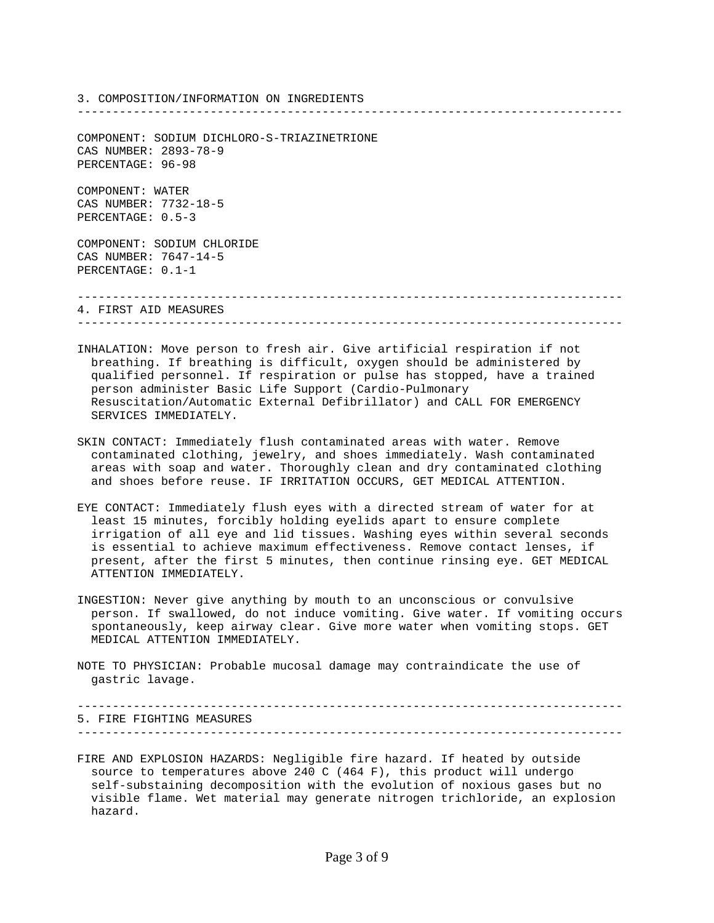3. COMPOSITION/INFORMATION ON INGREDIENTS

COMPONENT: SODIUM DICHLORO-S-TRIAZINETRIONE CAS NUMBER: 2893-78-9 PERCENTAGE: 96-98

COMPONENT: WATER CAS NUMBER: 7732-18-5 PERCENTAGE: 0.5-3

COMPONENT: SODIUM CHLORIDE CAS NUMBER: 7647-14-5 PERCENTAGE: 0.1-1

------------------------------------------------------------------------------

------------------------------------------------------------------------------

4. FIRST AID MEASURES ------------------------------------------------------------------------------

- INHALATION: Move person to fresh air. Give artificial respiration if not breathing. If breathing is difficult, oxygen should be administered by qualified personnel. If respiration or pulse has stopped, have a trained person administer Basic Life Support (Cardio-Pulmonary Resuscitation/Automatic External Defibrillator) and CALL FOR EMERGENCY SERVICES IMMEDIATELY.
- SKIN CONTACT: Immediately flush contaminated areas with water. Remove contaminated clothing, jewelry, and shoes immediately. Wash contaminated areas with soap and water. Thoroughly clean and dry contaminated clothing and shoes before reuse. IF IRRITATION OCCURS, GET MEDICAL ATTENTION.
- EYE CONTACT: Immediately flush eyes with a directed stream of water for at least 15 minutes, forcibly holding eyelids apart to ensure complete irrigation of all eye and lid tissues. Washing eyes within several seconds is essential to achieve maximum effectiveness. Remove contact lenses, if present, after the first 5 minutes, then continue rinsing eye. GET MEDICAL ATTENTION IMMEDIATELY.
- INGESTION: Never give anything by mouth to an unconscious or convulsive person. If swallowed, do not induce vomiting. Give water. If vomiting occurs spontaneously, keep airway clear. Give more water when vomiting stops. GET MEDICAL ATTENTION IMMEDIATELY.
- NOTE TO PHYSICIAN: Probable mucosal damage may contraindicate the use of gastric lavage.

------------------------------------------------------------------------------ 5. FIRE FIGHTING MEASURES ------------------------------------------------------------------------------

FIRE AND EXPLOSION HAZARDS: Negligible fire hazard. If heated by outside source to temperatures above 240 C (464 F), this product will undergo self-substaining decomposition with the evolution of noxious gases but no visible flame. Wet material may generate nitrogen trichloride, an explosion hazard.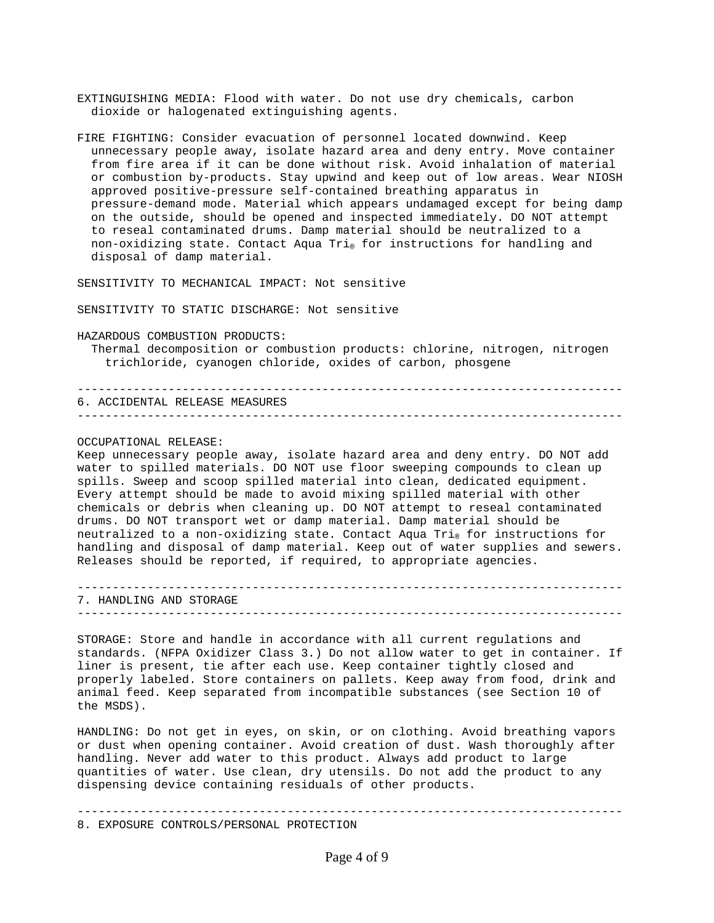EXTINGUISHING MEDIA: Flood with water. Do not use dry chemicals, carbon dioxide or halogenated extinguishing agents.

FIRE FIGHTING: Consider evacuation of personnel located downwind. Keep unnecessary people away, isolate hazard area and deny entry. Move container from fire area if it can be done without risk. Avoid inhalation of material or combustion by-products. Stay upwind and keep out of low areas. Wear NIOSH approved positive-pressure self-contained breathing apparatus in pressure-demand mode. Material which appears undamaged except for being damp on the outside, should be opened and inspected immediately. DO NOT attempt to reseal contaminated drums. Damp material should be neutralized to a non-oxidizing state. Contact Aqua Tri® for instructions for handling and disposal of damp material.

SENSITIVITY TO MECHANICAL IMPACT: Not sensitive

SENSITIVITY TO STATIC DISCHARGE: Not sensitive

HAZARDOUS COMBUSTION PRODUCTS:

 Thermal decomposition or combustion products: chlorine, nitrogen, nitrogen trichloride, cyanogen chloride, oxides of carbon, phosgene

------------------------------------------------------------------------------ 6. ACCIDENTAL RELEASE MEASURES ------------------------------------------------------------------------------

OCCUPATIONAL RELEASE:

Keep unnecessary people away, isolate hazard area and deny entry. DO NOT add water to spilled materials. DO NOT use floor sweeping compounds to clean up spills. Sweep and scoop spilled material into clean, dedicated equipment. Every attempt should be made to avoid mixing spilled material with other chemicals or debris when cleaning up. DO NOT attempt to reseal contaminated drums. DO NOT transport wet or damp material. Damp material should be neutralized to a non-oxidizing state. Contact Aqua Tri® for instructions for handling and disposal of damp material. Keep out of water supplies and sewers. Releases should be reported, if required, to appropriate agencies.

------------------------------------------------------------------------------ 7. HANDLING AND STORAGE ------------------------------------------------------------------------------

STORAGE: Store and handle in accordance with all current regulations and standards. (NFPA Oxidizer Class 3.) Do not allow water to get in container. If liner is present, tie after each use. Keep container tightly closed and properly labeled. Store containers on pallets. Keep away from food, drink and animal feed. Keep separated from incompatible substances (see Section 10 of the MSDS).

HANDLING: Do not get in eyes, on skin, or on clothing. Avoid breathing vapors or dust when opening container. Avoid creation of dust. Wash thoroughly after handling. Never add water to this product. Always add product to large quantities of water. Use clean, dry utensils. Do not add the product to any dispensing device containing residuals of other products.

------------------------------------------------------------------------------

8. EXPOSURE CONTROLS/PERSONAL PROTECTION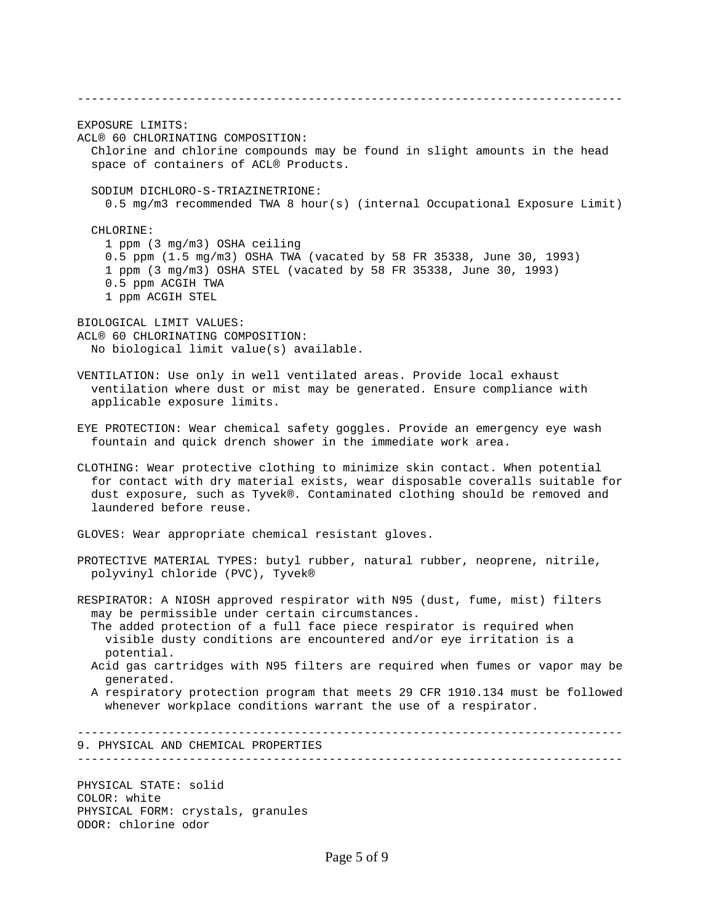------------------------------------------------------------------------------ EXPOSURE LIMITS: ACL® 60 CHLORINATING COMPOSITION: Chlorine and chlorine compounds may be found in slight amounts in the head space of containers of ACL® Products. SODIUM DICHLORO-S-TRIAZINETRIONE: 0.5 mg/m3 recommended TWA 8 hour(s) (internal Occupational Exposure Limit) CHLORINE: 1 ppm (3 mg/m3) OSHA ceiling 0.5 ppm (1.5 mg/m3) OSHA TWA (vacated by 58 FR 35338, June 30, 1993) 1 ppm (3 mg/m3) OSHA STEL (vacated by 58 FR 35338, June 30, 1993) 0.5 ppm ACGIH TWA 1 ppm ACGIH STEL BIOLOGICAL LIMIT VALUES: ACL® 60 CHLORINATING COMPOSITION: No biological limit value(s) available. VENTILATION: Use only in well ventilated areas. Provide local exhaust ventilation where dust or mist may be generated. Ensure compliance with applicable exposure limits. EYE PROTECTION: Wear chemical safety goggles. Provide an emergency eye wash fountain and quick drench shower in the immediate work area. CLOTHING: Wear protective clothing to minimize skin contact. When potential for contact with dry material exists, wear disposable coveralls suitable for dust exposure, such as Tyvek®. Contaminated clothing should be removed and laundered before reuse. GLOVES: Wear appropriate chemical resistant gloves. PROTECTIVE MATERIAL TYPES: butyl rubber, natural rubber, neoprene, nitrile, polyvinyl chloride (PVC), Tyvek® RESPIRATOR: A NIOSH approved respirator with N95 (dust, fume, mist) filters may be permissible under certain circumstances. The added protection of a full face piece respirator is required when visible dusty conditions are encountered and/or eye irritation is a potential. Acid gas cartridges with N95 filters are required when fumes or vapor may be generated. A respiratory protection program that meets 29 CFR 1910.134 must be followed whenever workplace conditions warrant the use of a respirator. ------------------------------------------------------------------------------ 9. PHYSICAL AND CHEMICAL PROPERTIES ------------------------------------------------------------------------------ PHYSICAL STATE: solid

COLOR: white PHYSICAL FORM: crystals, granules ODOR: chlorine odor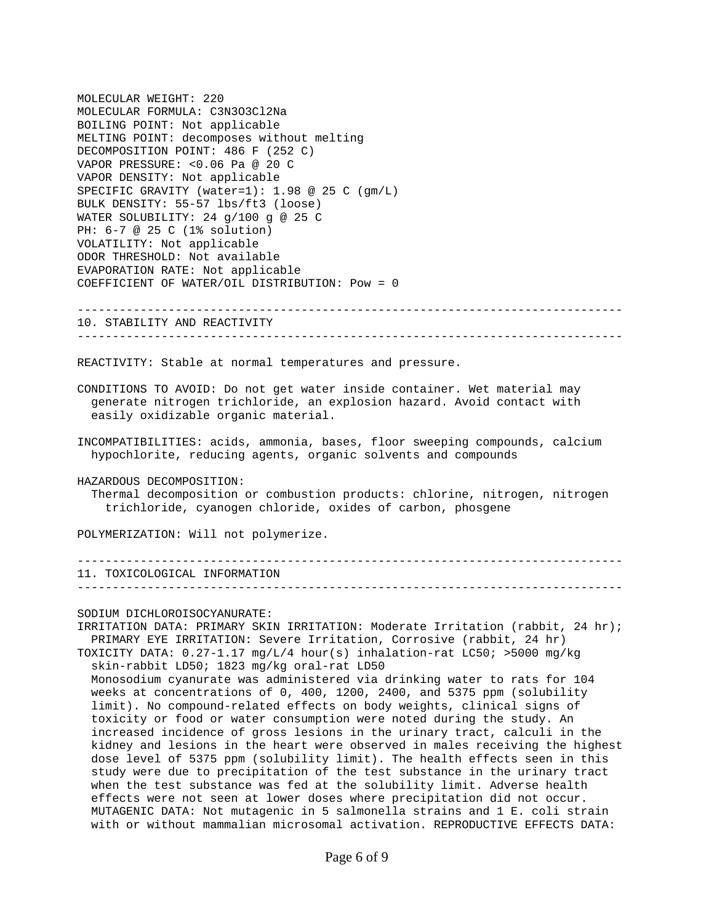MOLECULAR WEIGHT: 220 MOLECULAR FORMULA: C3N3O3Cl2Na BOILING POINT: Not applicable MELTING POINT: decomposes without melting DECOMPOSITION POINT: 486 F (252 C) VAPOR PRESSURE: <0.06 Pa @ 20 C VAPOR DENSITY: Not applicable SPECIFIC GRAVITY (water=1): 1.98 @ 25 C (gm/L) BULK DENSITY: 55-57 lbs/ft3 (loose) WATER SOLUBILITY: 24 g/100 g @ 25 C PH: 6-7 @ 25 C (1% solution) VOLATILITY: Not applicable ODOR THRESHOLD: Not available EVAPORATION RATE: Not applicable COEFFICIENT OF WATER/OIL DISTRIBUTION: Pow = 0

------------------------------------------------------------------------------ 10. STABILITY AND REACTIVITY ------------------------------------------------------------------------------

REACTIVITY: Stable at normal temperatures and pressure.

CONDITIONS TO AVOID: Do not get water inside container. Wet material may generate nitrogen trichloride, an explosion hazard. Avoid contact with easily oxidizable organic material.

INCOMPATIBILITIES: acids, ammonia, bases, floor sweeping compounds, calcium hypochlorite, reducing agents, organic solvents and compounds

HAZARDOUS DECOMPOSITION:

 Thermal decomposition or combustion products: chlorine, nitrogen, nitrogen trichloride, cyanogen chloride, oxides of carbon, phosgene

POLYMERIZATION: Will not polymerize.

------------------------------------------------------------------------------ 11. TOXICOLOGICAL INFORMATION ------------------------------------------------------------------------------

SODIUM DICHLOROISOCYANURATE:

IRRITATION DATA: PRIMARY SKIN IRRITATION: Moderate Irritation (rabbit, 24 hr); PRIMARY EYE IRRITATION: Severe Irritation, Corrosive (rabbit, 24 hr) TOXICITY DATA: 0.27-1.17 mg/L/4 hour(s) inhalation-rat LC50; >5000 mg/kg skin-rabbit LD50; 1823 mg/kg oral-rat LD50 Monosodium cyanurate was administered via drinking water to rats for 104 weeks at concentrations of 0, 400, 1200, 2400, and 5375 ppm (solubility limit). No compound-related effects on body weights, clinical signs of toxicity or food or water consumption were noted during the study. An increased incidence of gross lesions in the urinary tract, calculi in the kidney and lesions in the heart were observed in males receiving the highest dose level of 5375 ppm (solubility limit). The health effects seen in this study were due to precipitation of the test substance in the urinary tract when the test substance was fed at the solubility limit. Adverse health effects were not seen at lower doses where precipitation did not occur. MUTAGENIC DATA: Not mutagenic in 5 salmonella strains and 1 E. coli strain with or without mammalian microsomal activation. REPRODUCTIVE EFFECTS DATA: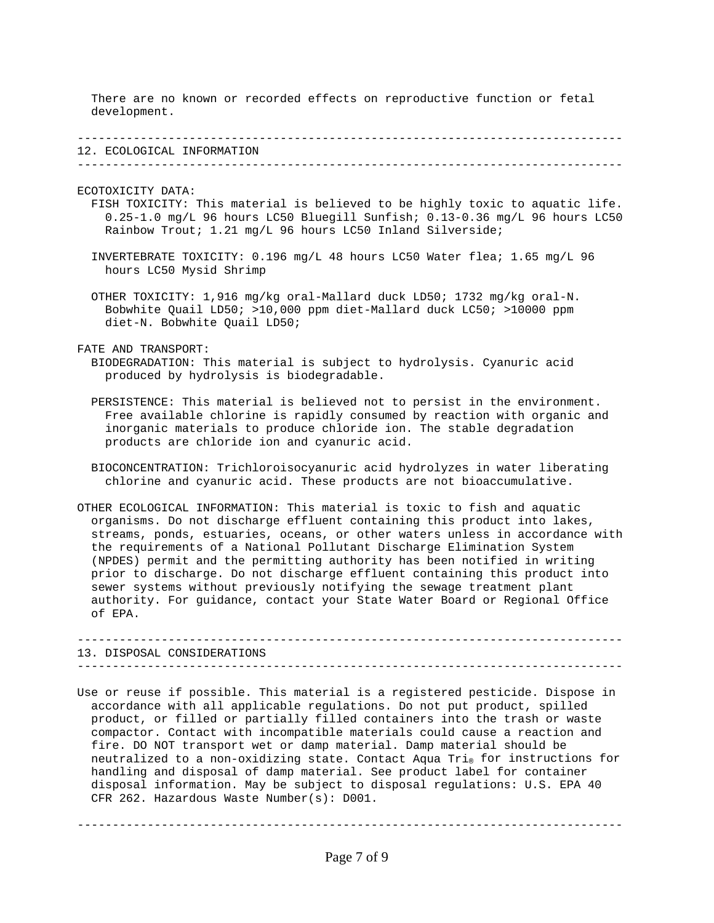There are no known or recorded effects on reproductive function or fetal development.

| 12<br>∸∸ | ECOLOGICAL INFORMATION |
|----------|------------------------|

------------------------------------------------------------------------------

ECOTOXICITY DATA:

- FISH TOXICITY: This material is believed to be highly toxic to aquatic life. 0.25-1.0 mg/L 96 hours LC50 Bluegill Sunfish; 0.13-0.36 mg/L 96 hours LC50 Rainbow Trout; 1.21 mg/L 96 hours LC50 Inland Silverside;
- INVERTEBRATE TOXICITY: 0.196 mg/L 48 hours LC50 Water flea; 1.65 mg/L 96 hours LC50 Mysid Shrimp

 OTHER TOXICITY: 1,916 mg/kg oral-Mallard duck LD50; 1732 mg/kg oral-N. Bobwhite Quail LD50; >10,000 ppm diet-Mallard duck LC50; >10000 ppm diet-N. Bobwhite Quail LD50;

FATE AND TRANSPORT:

- BIODEGRADATION: This material is subject to hydrolysis. Cyanuric acid produced by hydrolysis is biodegradable.
- PERSISTENCE: This material is believed not to persist in the environment. Free available chlorine is rapidly consumed by reaction with organic and inorganic materials to produce chloride ion. The stable degradation products are chloride ion and cyanuric acid.
- BIOCONCENTRATION: Trichloroisocyanuric acid hydrolyzes in water liberating chlorine and cyanuric acid. These products are not bioaccumulative.
- OTHER ECOLOGICAL INFORMATION: This material is toxic to fish and aquatic organisms. Do not discharge effluent containing this product into lakes, streams, ponds, estuaries, oceans, or other waters unless in accordance with the requirements of a National Pollutant Discharge Elimination System (NPDES) permit and the permitting authority has been notified in writing prior to discharge. Do not discharge effluent containing this product into sewer systems without previously notifying the sewage treatment plant authority. For guidance, contact your State Water Board or Regional Office of EPA.

|  | 13. DISPOSAL CONSIDERATIONS |
|--|-----------------------------|
|  |                             |

Use or reuse if possible. This material is a registered pesticide. Dispose in accordance with all applicable regulations. Do not put product, spilled product, or filled or partially filled containers into the trash or waste compactor. Contact with incompatible materials could cause a reaction and fire. DO NOT transport wet or damp material. Damp material should be neutralized to a non-oxidizing state. Contact Aqua Tri $_{\tiny \odot}$  for instructions for handling and disposal of damp material. See product label for container disposal information. May be subject to disposal regulations: U.S. EPA 40 CFR 262. Hazardous Waste Number(s): D001.

Page 7 of 9

------------------------------------------------------------------------------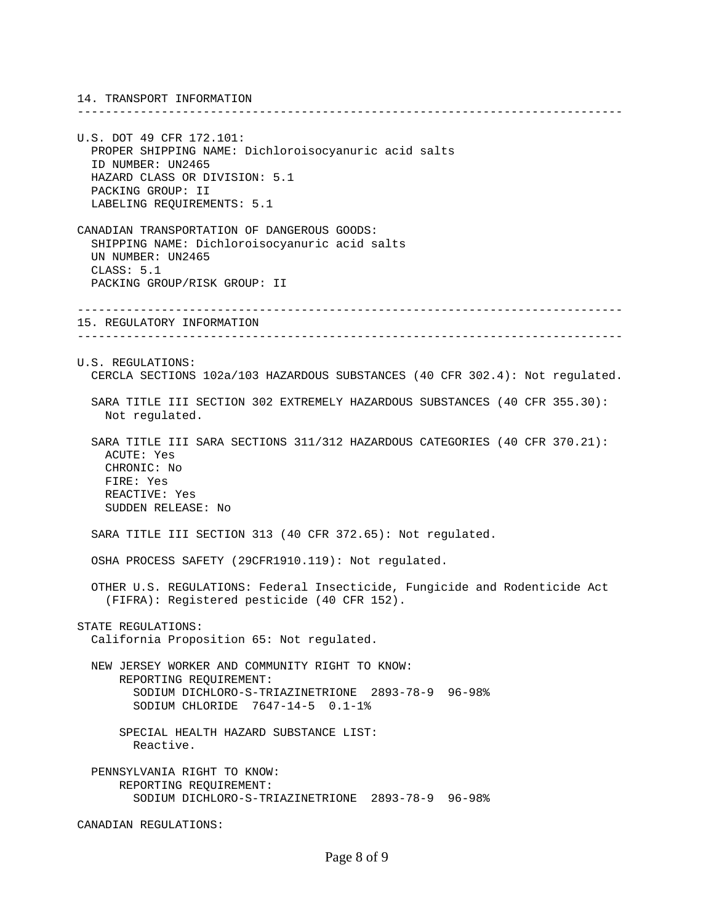14. TRANSPORT INFORMATION

U.S. DOT 49 CFR 172.101: PROPER SHIPPING NAME: Dichloroisocyanuric acid salts ID NUMBER: UN2465 HAZARD CLASS OR DIVISION: 5.1 PACKING GROUP: II LABELING REQUIREMENTS: 5.1

CANADIAN TRANSPORTATION OF DANGEROUS GOODS: SHIPPING NAME: Dichloroisocyanuric acid salts UN NUMBER: UN2465 CLASS: 5.1 PACKING GROUP/RISK GROUP: II

15. REGULATORY INFORMATION ------------------------------------------------------------------------------ U.S. REGULATIONS: CERCLA SECTIONS 102a/103 HAZARDOUS SUBSTANCES (40 CFR 302.4): Not regulated. SARA TITLE III SECTION 302 EXTREMELY HAZARDOUS SUBSTANCES (40 CFR 355.30): Not regulated. SARA TITLE III SARA SECTIONS 311/312 HAZARDOUS CATEGORIES (40 CFR 370.21): ACUTE: Yes CHRONIC: No

------------------------------------------------------------------------------

------------------------------------------------------------------------------

 FIRE: Yes REACTIVE: Yes SUDDEN RELEASE: No

SARA TITLE III SECTION 313 (40 CFR 372.65): Not regulated.

OSHA PROCESS SAFETY (29CFR1910.119): Not regulated.

 OTHER U.S. REGULATIONS: Federal Insecticide, Fungicide and Rodenticide Act (FIFRA): Registered pesticide (40 CFR 152).

STATE REGULATIONS:

California Proposition 65: Not regulated.

 NEW JERSEY WORKER AND COMMUNITY RIGHT TO KNOW: REPORTING REQUIREMENT: SODIUM DICHLORO-S-TRIAZINETRIONE 2893-78-9 96-98% SODIUM CHLORIDE 7647-14-5 0.1-1%

 SPECIAL HEALTH HAZARD SUBSTANCE LIST: Reactive.

 PENNSYLVANIA RIGHT TO KNOW: REPORTING REQUIREMENT: SODIUM DICHLORO-S-TRIAZINETRIONE 2893-78-9 96-98%

CANADIAN REGULATIONS: